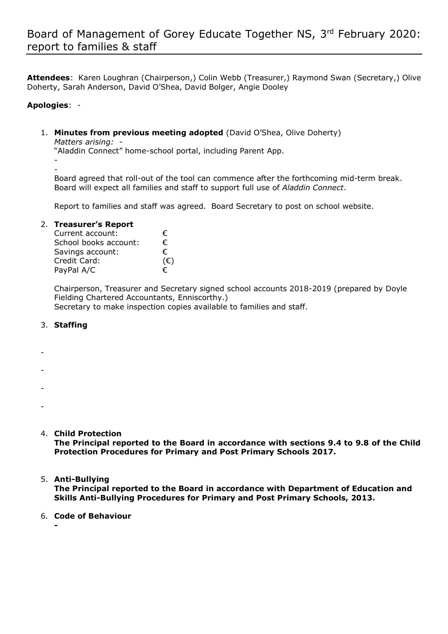**Attendees**: Karen Loughran (Chairperson,) Colin Webb (Treasurer,) Raymond Swan (Secretary,) Olive Doherty, Sarah Anderson, David O'Shea, David Bolger, Angie Dooley

# **Apologies**: -

-

- 1. **Minutes from previous meeting adopted** (David O'Shea, Olive Doherty) *Matters arising: -*  "Aladdin Connect" home-school portal, including Parent App.
	- Board agreed that roll-out of the tool can commence after the forthcoming mid-term break. Board will expect all families and staff to support full use of *Aladdin Connect*.

Report to families and staff was agreed. Board Secretary to post on school website.

### 2. **Treasurer's Report**

| Current account:      | €            |
|-----------------------|--------------|
| School books account: | €            |
| Savings account:      | €            |
| Credit Card:          | $(\epsilon)$ |
| PayPal A/C            | €            |
|                       |              |

Chairperson, Treasurer and Secretary signed school accounts 2018-2019 (prepared by Doyle Fielding Chartered Accountants, Enniscorthy.) Secretary to make inspection copies available to families and staff.

### 3. **Staffing**

- -
- -
- 
- -
- -
- 4. **Child Protection**

**The Principal reported to the Board in accordance with sections 9.4 to 9.8 of the Child Protection Procedures for Primary and Post Primary Schools 2017.**

# 5. **Anti-Bullying**

**The Principal reported to the Board in accordance with Department of Education and Skills Anti-Bullying Procedures for Primary and Post Primary Schools, 2013.**

# 6. **Code of Behaviour**

**-**